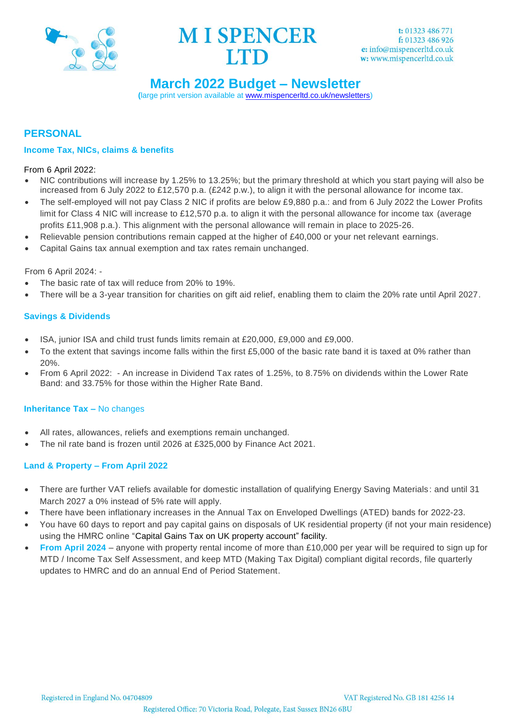



# **March 2022 Budget – Newsletter**

**(**large print version available at [www.mispencerltd.co.uk/newsletters\)](http://www.mispencerltd.co.uk/newsletters)

# **PERSONAL**

### **Income Tax, NICs, claims & benefits**

### From 6 April 2022:

- NIC contributions will increase by 1.25% to 13.25%; but the primary threshold at which you start paying will also be increased from 6 July 2022 to £12,570 p.a. (£242 p.w.), to align it with the personal allowance for income tax.
- The self-employed will not pay Class 2 NIC if profits are below £9,880 p.a.: and from 6 July 2022 the Lower Profits limit for Class 4 NIC will increase to £12,570 p.a. to align it with the personal allowance for income tax (average profits £11,908 p.a.). This alignment with the personal allowance will remain in place to 2025-26.
- Relievable pension contributions remain capped at the higher of £40,000 or your net relevant earnings.
- Capital Gains tax annual exemption and tax rates remain unchanged.

From 6 April 2024: -

- The basic rate of tax will reduce from 20% to 19%.
- There will be a 3-year transition for charities on gift aid relief, enabling them to claim the 20% rate until April 2027.

# **Savings & Dividends**

- ISA, junior ISA and child trust funds limits remain at £20,000, £9,000 and £9,000.
- To the extent that savings income falls within the first £5,000 of the basic rate band it is taxed at 0% rather than 20%.
- From 6 April 2022: An increase in Dividend Tax rates of 1.25%, to 8.75% on dividends within the Lower Rate Band: and 33.75% for those within the Higher Rate Band.

### **Inheritance Tax –** No changes

- All rates, allowances, reliefs and exemptions remain unchanged.
- The nil rate band is frozen until 2026 at £325,000 by Finance Act 2021.

# **Land & Property – From April 2022**

- There are further VAT reliefs available for domestic installation of qualifying Energy Saving Materials: and until 31 March 2027 a 0% instead of 5% rate will apply.
- There have been inflationary increases in the Annual Tax on Enveloped Dwellings (ATED) bands for 2022-23.
- You have 60 days to report and pay capital gains on disposals of UK residential property (if not your main residence) using the HMRC online ["Capital Gains Tax on UK property account"](https://www.tax.service.gov.uk/capital-gains-tax-uk-property/start/report-pay-capital-gains-tax-uk-property) facility.
- **From April 2024** anyone with property rental income of more than £10,000 per year will be required to sign up for MTD / Income Tax Self Assessment, and keep MTD (Making Tax Digital) compliant digital records, file quarterly updates to HMRC and do an annual End of Period Statement.